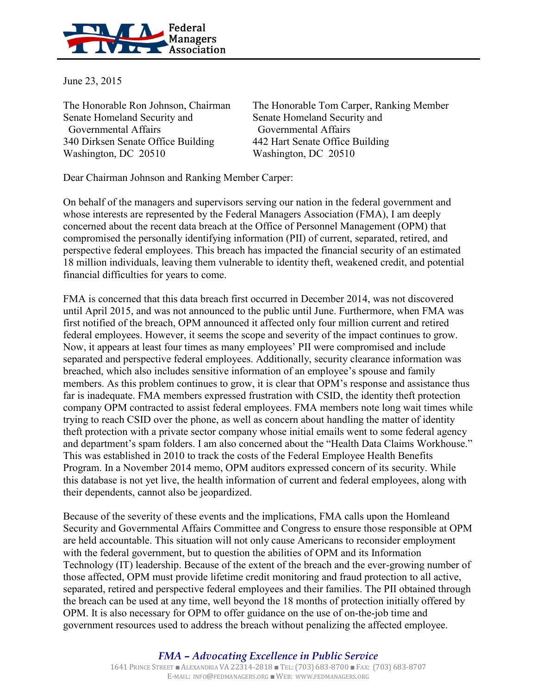

June 23, 2015

Senate Homeland Security and Senate Homeland Security and Governmental Affairs Governmental Affairs 340 Dirksen Senate Office Building 442 Hart Senate Office Building Washington, DC 20510 Washington, DC 20510

The Honorable Ron Johnson, Chairman The Honorable Tom Carper, Ranking Member

Dear Chairman Johnson and Ranking Member Carper:

On behalf of the managers and supervisors serving our nation in the federal government and whose interests are represented by the Federal Managers Association (FMA), I am deeply concerned about the recent data breach at the Office of Personnel Management (OPM) that compromised the personally identifying information (PII) of current, separated, retired, and perspective federal employees. This breach has impacted the financial security of an estimated 18 million individuals, leaving them vulnerable to identity theft, weakened credit, and potential financial difficulties for years to come.

FMA is concerned that this data breach first occurred in December 2014, was not discovered until April 2015, and was not announced to the public until June. Furthermore, when FMA was first notified of the breach, OPM announced it affected only four million current and retired federal employees. However, it seems the scope and severity of the impact continues to grow. Now, it appears at least four times as many employees' PII were compromised and include separated and perspective federal employees. Additionally, security clearance information was breached, which also includes sensitive information of an employee's spouse and family members. As this problem continues to grow, it is clear that OPM's response and assistance thus far is inadequate. FMA members expressed frustration with CSID, the identity theft protection company OPM contracted to assist federal employees. FMA members note long wait times while trying to reach CSID over the phone, as well as concern about handling the matter of identity theft protection with a private sector company whose initial emails went to some federal agency and department's spam folders. I am also concerned about the "Health Data Claims Workhouse." This was established in 2010 to track the costs of the Federal Employee Health Benefits Program. In a November 2014 memo, OPM auditors expressed concern of its security. While this database is not yet live, the health information of current and federal employees, along with their dependents, cannot also be jeopardized.

Because of the severity of these events and the implications, FMA calls upon the Homleand Security and Governmental Affairs Committee and Congress to ensure those responsible at OPM are held accountable. This situation will not only cause Americans to reconsider employment with the federal government, but to question the abilities of OPM and its Information Technology (IT) leadership. Because of the extent of the breach and the ever-growing number of those affected, OPM must provide lifetime credit monitoring and fraud protection to all active, separated, retired and perspective federal employees and their families. The PII obtained through the breach can be used at any time, well beyond the 18 months of protection initially offered by OPM. It is also necessary for OPM to offer guidance on the use of on-the-job time and government resources used to address the breach without penalizing the affected employee.

> *FMA – Advocating Excellence in Public Service* 1641 PRINCE STREET ■ ALEXANDRIA VA 22314-2818 ■ TEL:(703) 683-8700 ■ FAX: (703) 683-8707 E-MAIL: INFO@FEDMANAGERS.ORG ■ WEB: WWW.[FEDMANAGERS](http://www.fedmanagers.org/).ORG